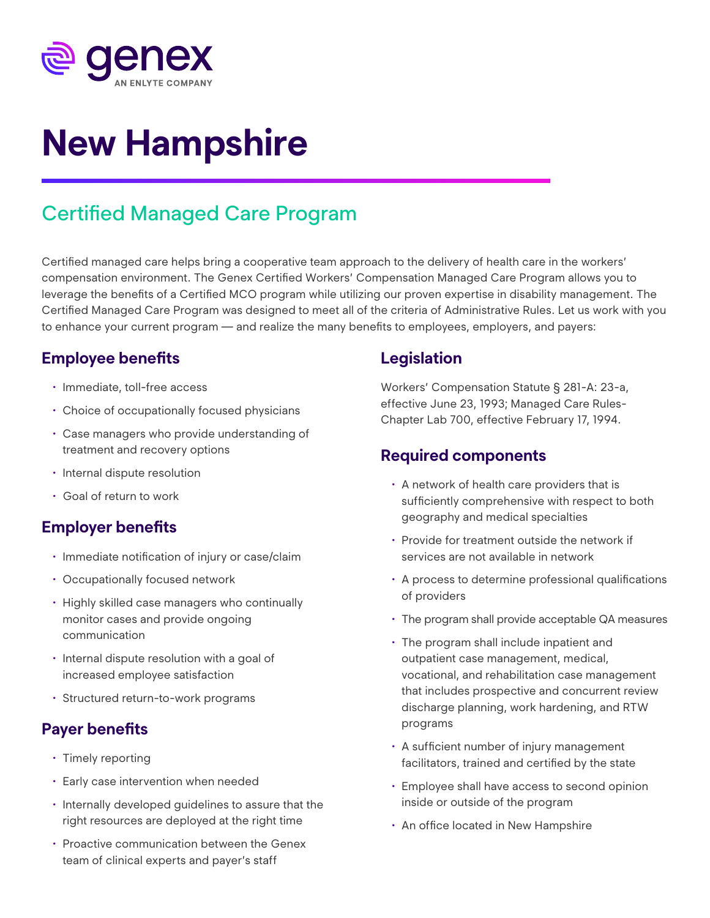

# **New Hampshire**

## Certified Managed Care Program

Certified managed care helps bring a cooperative team approach to the delivery of health care in the workers' compensation environment. The Genex Certified Workers' Compensation Managed Care Program allows you to leverage the benefits of a Certified MCO program while utilizing our proven expertise in disability management. The Certified Managed Care Program was designed to meet all of the criteria of Administrative Rules. Let us work with you to enhance your current program — and realize the many benefits to employees, employers, and payers:

#### **Employee benefits**

- Immediate, toll-free access
- Choice of occupationally focused physicians
- Case managers who provide understanding of treatment and recovery options
- Internal dispute resolution
- Goal of return to work

#### **Employer benefits**

- Immediate notification of injury or case/claim
- Occupationally focused network
- Highly skilled case managers who continually monitor cases and provide ongoing communication
- Internal dispute resolution with a goal of increased employee satisfaction
- Structured return-to-work programs

### **Payer benefits**

- Timely reporting
- Early case intervention when needed
- Internally developed guidelines to assure that the right resources are deployed at the right time
- Proactive communication between the Genex team of clinical experts and payer's staff

#### **Legislation**

Workers' Compensation Statute § 281-A: 23-a, effective June 23, 1993; Managed Care Rules-Chapter Lab 700, effective February 17, 1994.

#### **Required components**

- A network of health care providers that is sufficiently comprehensive with respect to both geography and medical specialties
- Provide for treatment outside the network if services are not available in network
- A process to determine professional qualifications of providers
- The program shall provide acceptable QA measures
- The program shall include inpatient and outpatient case management, medical, vocational, and rehabilitation case management that includes prospective and concurrent review discharge planning, work hardening, and RTW programs
- A sufficient number of injury management facilitators, trained and certified by the state
- Employee shall have access to second opinion inside or outside of the program
- An office located in New Hampshire